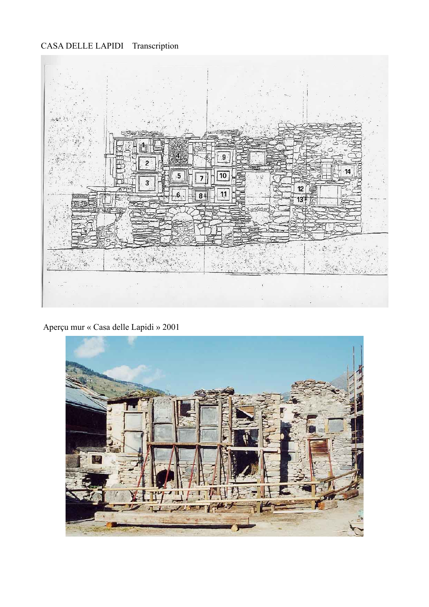## CASA DELLE LAPIDI Transcription



Aperçu mur « Casa delle Lapidi » 2001

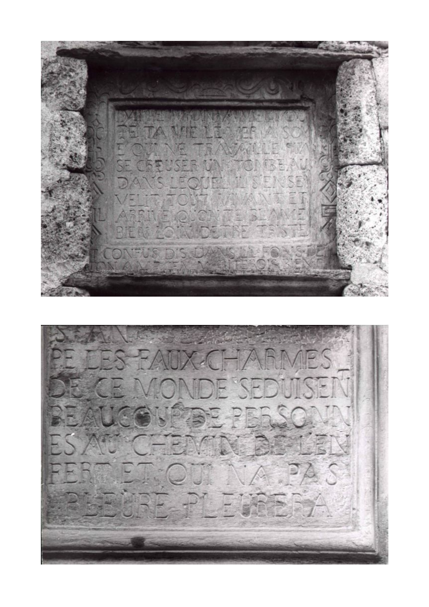

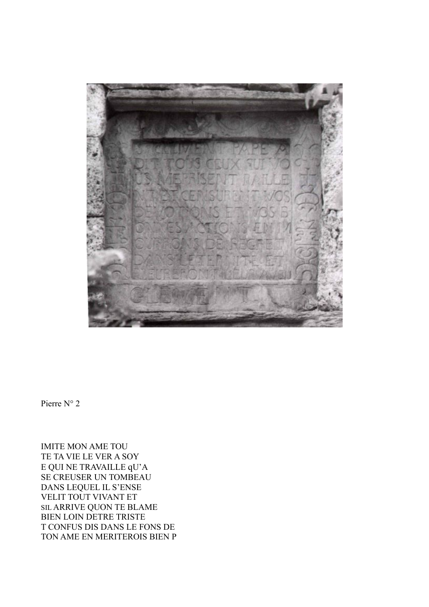

Pierre  $N^{\circ}$  2

**IMITE MON AME TOU** TE TA VIE LE VER A SOY E QUI NE TRAVAILLE qU'A SE CREUSER UN TOMBEAU DANS LEQUEL IL S'ENSE VELIT TOUT VIVANT ET SIL ARRIVE QUON TE BLAME **BIEN LOIN DETRE TRISTE** T CONFUS DIS DANS LE FONS DE TON AME EN MERITEROIS BIEN P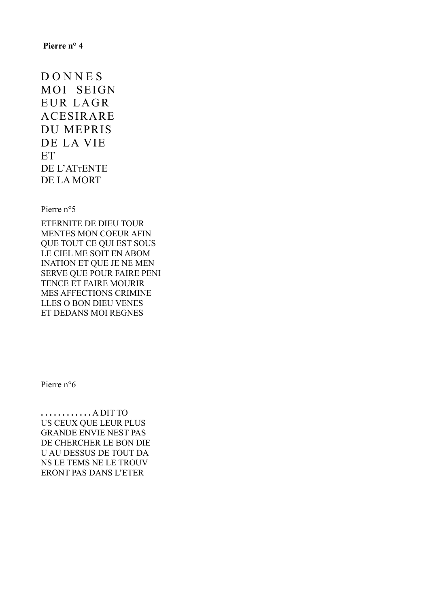D O N N E S MOI SEIGN EUR LAGR ACESIRARE DU MEPRIS DE LA VIE **ET** DE L'ATTENTE DE LA MORT

Pierre n°5

ETERNITE DE DIEU TOUR MENTES MON COEUR AFIN QUE TOUT CE QUI EST SOUS LE CIEL ME SOIT EN ABOM INATION ET QUE JE NE MEN SERVE QUE POUR FAIRE PENI TENCE ET FAIRE MOURIR MES AFFECTIONS CRIMINE LLES O BON DIEU VENES ET DEDANS MOI REGNES

Pierre n°6

**. . . . . . . . . . . .** A DIT TO US CEUX QUE LEUR PLUS GRANDE ENVIE NEST PAS DE CHERCHER LE BON DIE U AU DESSUS DE TOUT DA NS LE TEMS NE LE TROUV ERONT PAS DANS L'ETER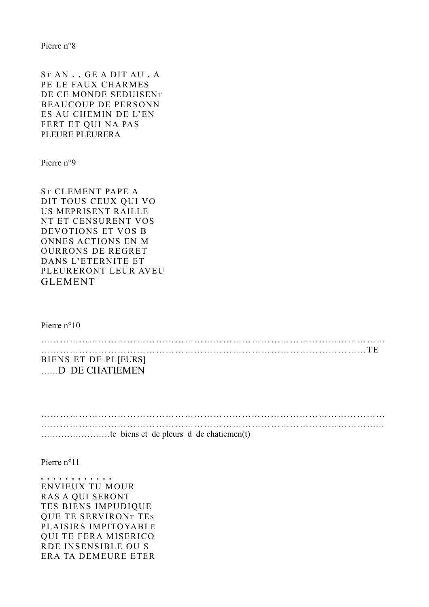ST AN **. .** GE A DIT AU **.** A PE LE FAUX CHARMES DE CE MONDE SEDUISENT BEAUCOUP DE PERSONN ES AU CHEMIN DE L'EN FERT ET QUI NA PAS PLEURE PLEURERA

Pierre n°9

ST CLEMENT PAPE A DIT TOUS CEUX QUI VO US MEPRISENT RAILLE NT ET CENSURENT VOS DEVOTIONS ET VOS B ONNES ACTIONS EN M OURRONS DE REGRET DANS L'ETERNITE ET PLEURERONT LEUR AVEU GLEMENT

Pierre n°10

……………………………………………………………………………………………… …………………………………………………………………………………………TE BIENS ET DE PL[EURS] ……D DE CHATIEMEN

…………………………………………………...………………………………………… ……………………………………………………………………………………………… ……………………te biens et de pleurs d de chatiemen(t)

Pierre n°11

**. . . . . . . . . . . .** ENVIEUX TU MOUR RAS A QUI SERONT TES BIENS IMPUDIQUE QUE TE SERVIRON<sup>T</sup> TES PLAISIRS IMPITOYABLE QUI TE FERA MISERICO RDE INSENSIBLE OU S ERA TA DEMEURE ETER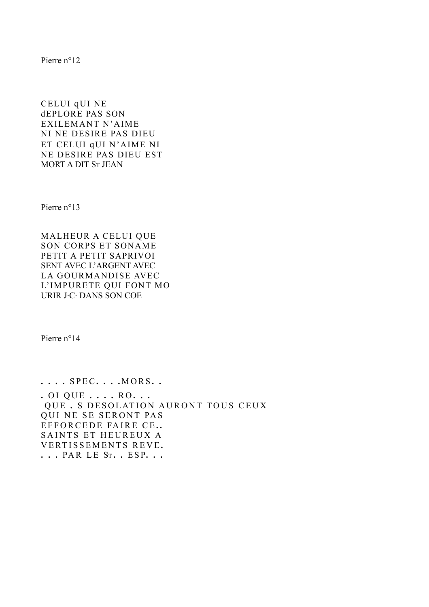CELUI qUI NE dEPLORE PAS SON EXILEMANT N'AIME NI NE DESIRE PAS DIEU ET CELUI qUI N'AIME NI NE DESIRE PAS DIEU EST MORT A DIT S<sup>T</sup> JEAN

Pierre n°13

MALHEUR A CELUI QUE SON CORPS ET SONAME PETIT A PETIT SAPRIVOI SENT AVEC L'ARGENT AVEC LA GOURMANDISE AVEC L'IMPURETE QUI FONT MO URIR J·C· DANS SON COE

Pierre n°14

**. . . .** S P EC **. . . .** M O RS **. . .** O I Q U E **. . . .** R O **. . .** QUE . S DESOLATION AURONT TOUS CEUX QUI NE SE SERONT PAS EFFORCEDE FAIRE CE.. SAINTS ET HEUREUX A V ERT I S S E M E N T S R E V E **. . . .** PA R L E S<sup>T</sup> **. .** E S P**. . .**